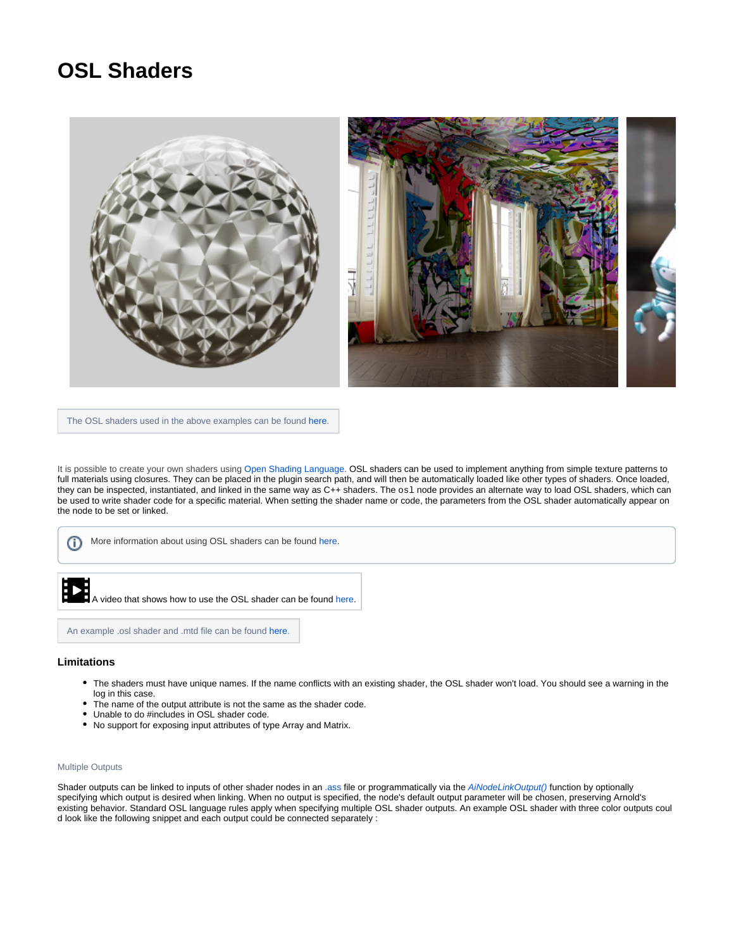## **OSL Shaders**



The OSL shaders used in the above examples can be found [here.](https://github.com/ADN-DevTech/3dsMax-OSL-Shaders)

It is possible to create your own shaders using [Open Shading Language](https://docs.arnoldrenderer.com/display/A5ARP/OSL+Shaders). OSL shaders can be used to implement anything from simple texture patterns to full materials using closures. They can be placed in the plugin search path, and will then be automatically loaded like other types of shaders. Once loaded, they can be inspected, instantiated, and linked in the same way as C++ shaders. The osl node provides an alternate way to load OSL shaders, which can be used to write shader code for a specific material. When setting the shader name or code, the parameters from the OSL shader automatically appear on the node to be set or linked.

More information about using OSL shaders can be found [here](https://docs.arnoldrenderer.com/display/A5ARP/OSL+Shaders). ന

**A video that shows how to use the OSL shader can be found [here](https://www.youtube.com/watch?v=qC1ayMyo7pI&t=5s).** 

An example .osl shader and .mtd file can be found [here.](https://docs.arnoldrenderer.com/download/attachments/41321166/hda.zip?version=1&modificationDate=1491995573000&api=v2)

## **Limitations**

- The shaders must have unique names. If the name conflicts with an existing shader, the OSL shader won't load. You should see a warning in the log in this case.
- The name of the output attribute is not the same as the shader code.
- Unable to do #includes in OSL shader code.
- No support for exposing input attributes of type Array and Matrix.

## Multiple Outputs

Shader outputs can be linked to inputs of other shader nodes in an [.ass](https://docs.arnoldrenderer.com/pages/viewpage.action?pageId=8391141) file or programmatically via the [AiNodeLinkOutput\(\)](https://docs.arnoldrenderer.com/api/arnold-6.2.1.1/group__ai__nodes.html#gae72e639812bd02840e606c7ff82c397d) function by optionally specifying which output is desired when linking. When no output is specified, the node's default output parameter will be chosen, preserving Arnold's existing behavior. Standard OSL language rules apply when specifying multiple OSL shader outputs. An example OSL shader with three color outputs coul d look like the following snippet and each output could be connected separately :